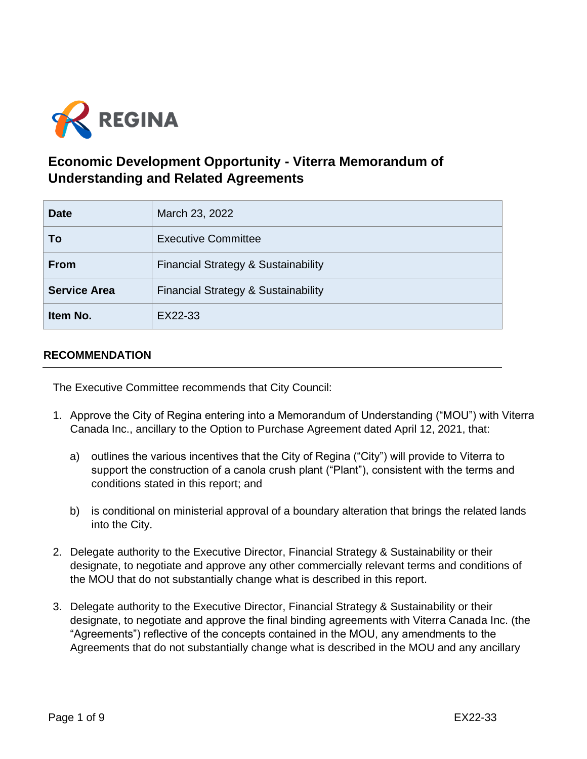

# **Economic Development Opportunity - Viterra Memorandum of Understanding and Related Agreements**

| <b>Date</b>         | March 23, 2022                                 |
|---------------------|------------------------------------------------|
| Τo                  | <b>Executive Committee</b>                     |
| <b>From</b>         | <b>Financial Strategy &amp; Sustainability</b> |
| <b>Service Area</b> | <b>Financial Strategy &amp; Sustainability</b> |
| Item No.            | EX22-33                                        |

# **RECOMMENDATION**

The Executive Committee recommends that City Council:

- 1. Approve the City of Regina entering into a Memorandum of Understanding ("MOU") with Viterra Canada Inc., ancillary to the Option to Purchase Agreement dated April 12, 2021, that:
	- a) outlines the various incentives that the City of Regina ("City") will provide to Viterra to support the construction of a canola crush plant ("Plant"), consistent with the terms and conditions stated in this report; and
	- b) is conditional on ministerial approval of a boundary alteration that brings the related lands into the City.
- 2. Delegate authority to the Executive Director, Financial Strategy & Sustainability or their designate, to negotiate and approve any other commercially relevant terms and conditions of the MOU that do not substantially change what is described in this report.
- 3. Delegate authority to the Executive Director, Financial Strategy & Sustainability or their designate, to negotiate and approve the final binding agreements with Viterra Canada Inc. (the "Agreements") reflective of the concepts contained in the MOU, any amendments to the Agreements that do not substantially change what is described in the MOU and any ancillary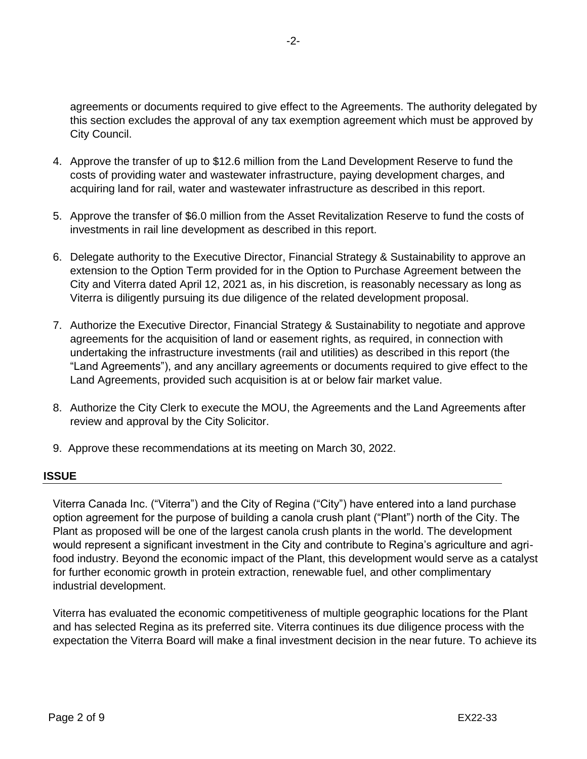agreements or documents required to give effect to the Agreements. The authority delegated by this section excludes the approval of any tax exemption agreement which must be approved by City Council.

- 4. Approve the transfer of up to \$12.6 million from the Land Development Reserve to fund the costs of providing water and wastewater infrastructure, paying development charges, and acquiring land for rail, water and wastewater infrastructure as described in this report.
- 5. Approve the transfer of \$6.0 million from the Asset Revitalization Reserve to fund the costs of investments in rail line development as described in this report.
- 6. Delegate authority to the Executive Director, Financial Strategy & Sustainability to approve an extension to the Option Term provided for in the Option to Purchase Agreement between the City and Viterra dated April 12, 2021 as, in his discretion, is reasonably necessary as long as Viterra is diligently pursuing its due diligence of the related development proposal.
- 7. Authorize the Executive Director, Financial Strategy & Sustainability to negotiate and approve agreements for the acquisition of land or easement rights, as required, in connection with undertaking the infrastructure investments (rail and utilities) as described in this report (the "Land Agreements"), and any ancillary agreements or documents required to give effect to the Land Agreements, provided such acquisition is at or below fair market value.
- 8. Authorize the City Clerk to execute the MOU, the Agreements and the Land Agreements after review and approval by the City Solicitor.
- 9. Approve these recommendations at its meeting on March 30, 2022.

# **ISSUE**

Viterra Canada Inc. ("Viterra") and the City of Regina ("City") have entered into a land purchase option agreement for the purpose of building a canola crush plant ("Plant") north of the City. The Plant as proposed will be one of the largest canola crush plants in the world. The development would represent a significant investment in the City and contribute to Regina's agriculture and agrifood industry. Beyond the economic impact of the Plant, this development would serve as a catalyst for further economic growth in protein extraction, renewable fuel, and other complimentary industrial development.

Viterra has evaluated the economic competitiveness of multiple geographic locations for the Plant and has selected Regina as its preferred site. Viterra continues its due diligence process with the expectation the Viterra Board will make a final investment decision in the near future. To achieve its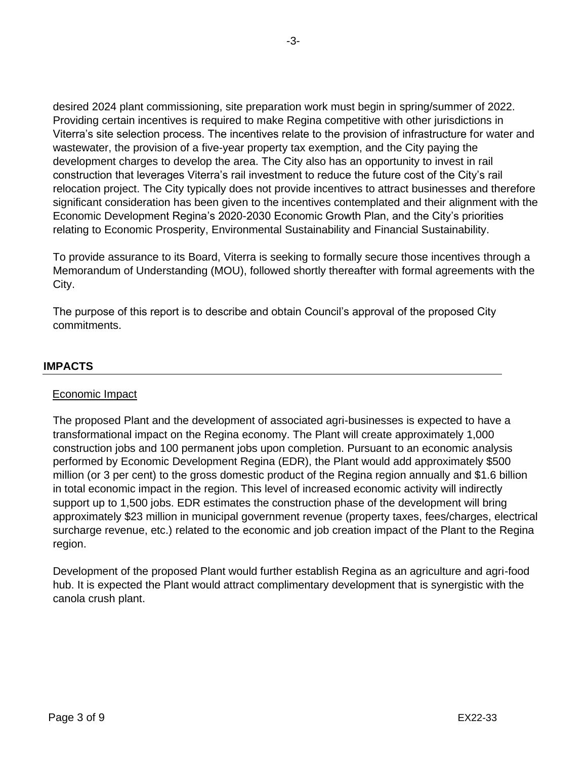desired 2024 plant commissioning, site preparation work must begin in spring/summer of 2022. Providing certain incentives is required to make Regina competitive with other jurisdictions in Viterra's site selection process. The incentives relate to the provision of infrastructure for water and wastewater, the provision of a five-year property tax exemption, and the City paying the development charges to develop the area. The City also has an opportunity to invest in rail construction that leverages Viterra's rail investment to reduce the future cost of the City's rail relocation project. The City typically does not provide incentives to attract businesses and therefore significant consideration has been given to the incentives contemplated and their alignment with the Economic Development Regina's 2020-2030 Economic Growth Plan, and the City's priorities relating to Economic Prosperity, Environmental Sustainability and Financial Sustainability.

To provide assurance to its Board, Viterra is seeking to formally secure those incentives through a Memorandum of Understanding (MOU), followed shortly thereafter with formal agreements with the City.

The purpose of this report is to describe and obtain Council's approval of the proposed City commitments.

# **IMPACTS**

## Economic Impact

The proposed Plant and the development of associated agri-businesses is expected to have a transformational impact on the Regina economy. The Plant will create approximately 1,000 construction jobs and 100 permanent jobs upon completion. Pursuant to an economic analysis performed by Economic Development Regina (EDR), the Plant would add approximately \$500 million (or 3 per cent) to the gross domestic product of the Regina region annually and \$1.6 billion in total economic impact in the region. This level of increased economic activity will indirectly support up to 1,500 jobs. EDR estimates the construction phase of the development will bring approximately \$23 million in municipal government revenue (property taxes, fees/charges, electrical surcharge revenue, etc.) related to the economic and job creation impact of the Plant to the Regina region.

Development of the proposed Plant would further establish Regina as an agriculture and agri-food hub. It is expected the Plant would attract complimentary development that is synergistic with the canola crush plant.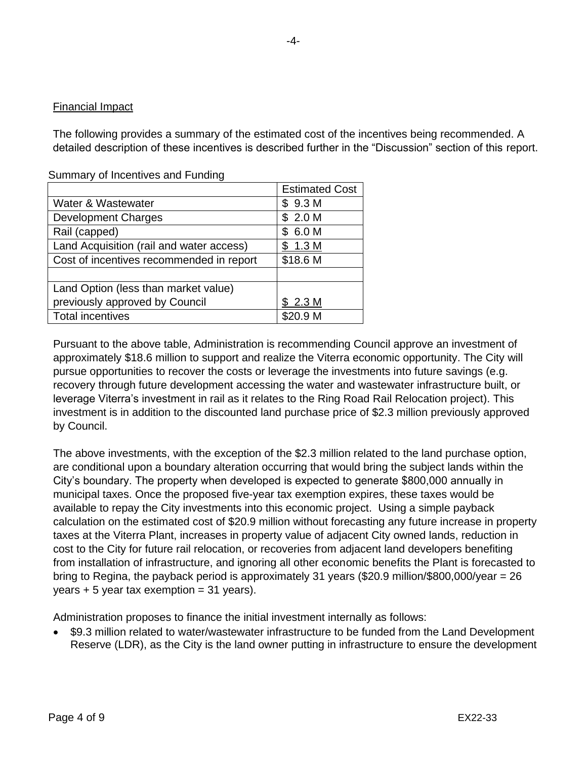# Financial Impact

The following provides a summary of the estimated cost of the incentives being recommended. A detailed description of these incentives is described further in the "Discussion" section of this report.

|                                          | <b>Estimated Cost</b> |
|------------------------------------------|-----------------------|
| Water & Wastewater                       | \$9.3 M               |
| <b>Development Charges</b>               | \$2.0 M               |
| Rail (capped)                            | \$6.0 M               |
| Land Acquisition (rail and water access) | \$1.3 M               |
| Cost of incentives recommended in report | \$18.6 M              |
|                                          |                       |
| Land Option (less than market value)     |                       |
| previously approved by Council           | \$2.3 M               |
| <b>Total incentives</b>                  | \$20.9 M              |

Summary of Incentives and Funding

Pursuant to the above table, Administration is recommending Council approve an investment of approximately \$18.6 million to support and realize the Viterra economic opportunity. The City will pursue opportunities to recover the costs or leverage the investments into future savings (e.g. recovery through future development accessing the water and wastewater infrastructure built, or leverage Viterra's investment in rail as it relates to the Ring Road Rail Relocation project). This investment is in addition to the discounted land purchase price of \$2.3 million previously approved by Council.

The above investments, with the exception of the \$2.3 million related to the land purchase option, are conditional upon a boundary alteration occurring that would bring the subject lands within the City's boundary. The property when developed is expected to generate \$800,000 annually in municipal taxes. Once the proposed five-year tax exemption expires, these taxes would be available to repay the City investments into this economic project. Using a simple payback calculation on the estimated cost of \$20.9 million without forecasting any future increase in property taxes at the Viterra Plant, increases in property value of adjacent City owned lands, reduction in cost to the City for future rail relocation, or recoveries from adjacent land developers benefiting from installation of infrastructure, and ignoring all other economic benefits the Plant is forecasted to bring to Regina, the payback period is approximately 31 years (\$20.9 million/\$800,000/year = 26  $years + 5 years$  tax exemption = 31 years).

Administration proposes to finance the initial investment internally as follows:

• \$9.3 million related to water/wastewater infrastructure to be funded from the Land Development Reserve (LDR), as the City is the land owner putting in infrastructure to ensure the development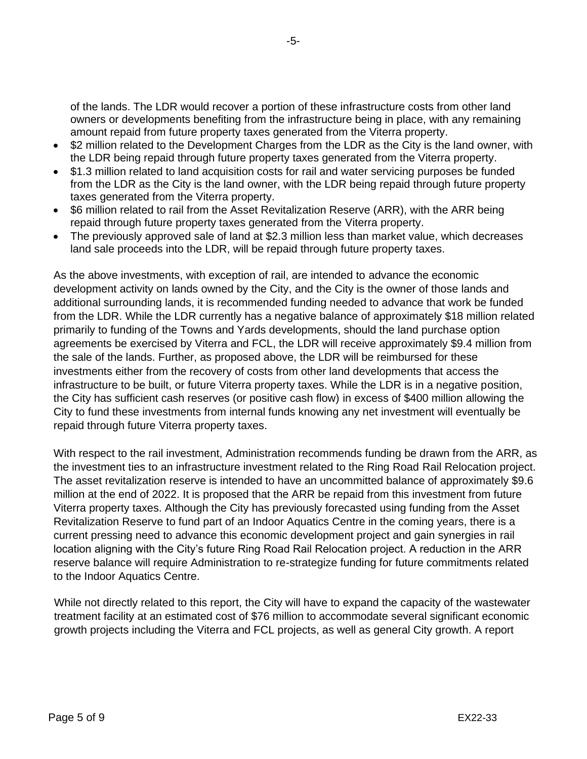of the lands. The LDR would recover a portion of these infrastructure costs from other land owners or developments benefiting from the infrastructure being in place, with any remaining amount repaid from future property taxes generated from the Viterra property.

- \$2 million related to the Development Charges from the LDR as the City is the land owner, with the LDR being repaid through future property taxes generated from the Viterra property.
- \$1.3 million related to land acquisition costs for rail and water servicing purposes be funded from the LDR as the City is the land owner, with the LDR being repaid through future property taxes generated from the Viterra property.
- \$6 million related to rail from the Asset Revitalization Reserve (ARR), with the ARR being repaid through future property taxes generated from the Viterra property.
- The previously approved sale of land at \$2.3 million less than market value, which decreases land sale proceeds into the LDR, will be repaid through future property taxes.

As the above investments, with exception of rail, are intended to advance the economic development activity on lands owned by the City, and the City is the owner of those lands and additional surrounding lands, it is recommended funding needed to advance that work be funded from the LDR. While the LDR currently has a negative balance of approximately \$18 million related primarily to funding of the Towns and Yards developments, should the land purchase option agreements be exercised by Viterra and FCL, the LDR will receive approximately \$9.4 million from the sale of the lands. Further, as proposed above, the LDR will be reimbursed for these investments either from the recovery of costs from other land developments that access the infrastructure to be built, or future Viterra property taxes. While the LDR is in a negative position, the City has sufficient cash reserves (or positive cash flow) in excess of \$400 million allowing the City to fund these investments from internal funds knowing any net investment will eventually be repaid through future Viterra property taxes.

With respect to the rail investment, Administration recommends funding be drawn from the ARR, as the investment ties to an infrastructure investment related to the Ring Road Rail Relocation project. The asset revitalization reserve is intended to have an uncommitted balance of approximately \$9.6 million at the end of 2022. It is proposed that the ARR be repaid from this investment from future Viterra property taxes. Although the City has previously forecasted using funding from the Asset Revitalization Reserve to fund part of an Indoor Aquatics Centre in the coming years, there is a current pressing need to advance this economic development project and gain synergies in rail location aligning with the City's future Ring Road Rail Relocation project. A reduction in the ARR reserve balance will require Administration to re-strategize funding for future commitments related to the Indoor Aquatics Centre.

While not directly related to this report, the City will have to expand the capacity of the wastewater treatment facility at an estimated cost of \$76 million to accommodate several significant economic growth projects including the Viterra and FCL projects, as well as general City growth. A report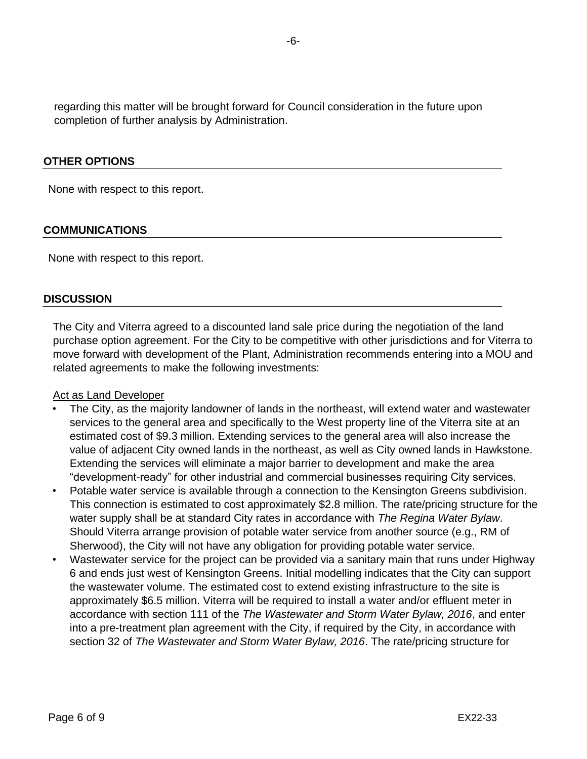regarding this matter will be brought forward for Council consideration in the future upon completion of further analysis by Administration.

## **OTHER OPTIONS**

None with respect to this report.

## **COMMUNICATIONS**

None with respect to this report.

#### **DISCUSSION**

The City and Viterra agreed to a discounted land sale price during the negotiation of the land purchase option agreement. For the City to be competitive with other jurisdictions and for Viterra to move forward with development of the Plant, Administration recommends entering into a MOU and related agreements to make the following investments:

#### Act as Land Developer

- The City, as the majority landowner of lands in the northeast, will extend water and wastewater services to the general area and specifically to the West property line of the Viterra site at an estimated cost of \$9.3 million. Extending services to the general area will also increase the value of adjacent City owned lands in the northeast, as well as City owned lands in Hawkstone. Extending the services will eliminate a major barrier to development and make the area "development-ready" for other industrial and commercial businesses requiring City services.
- Potable water service is available through a connection to the Kensington Greens subdivision. This connection is estimated to cost approximately \$2.8 million. The rate/pricing structure for the water supply shall be at standard City rates in accordance with *The Regina Water Bylaw*. Should Viterra arrange provision of potable water service from another source (e.g., RM of Sherwood), the City will not have any obligation for providing potable water service.
- Wastewater service for the project can be provided via a sanitary main that runs under Highway 6 and ends just west of Kensington Greens. Initial modelling indicates that the City can support the wastewater volume. The estimated cost to extend existing infrastructure to the site is approximately \$6.5 million. Viterra will be required to install a water and/or effluent meter in accordance with section 111 of the *The Wastewater and Storm Water Bylaw, 2016*, and enter into a pre-treatment plan agreement with the City, if required by the City, in accordance with section 32 of *The Wastewater and Storm Water Bylaw, 2016*. The rate/pricing structure for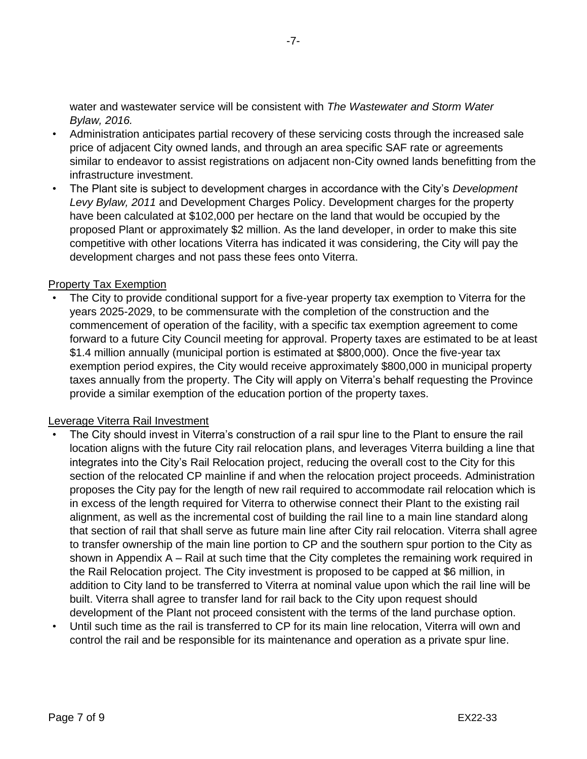water and wastewater service will be consistent with *The Wastewater and Storm Water Bylaw, 2016.*

- Administration anticipates partial recovery of these servicing costs through the increased sale price of adjacent City owned lands, and through an area specific SAF rate or agreements similar to endeavor to assist registrations on adjacent non-City owned lands benefitting from the infrastructure investment.
- The Plant site is subject to development charges in accordance with the City's *Development Levy Bylaw, 2011* and Development Charges Policy. Development charges for the property have been calculated at \$102,000 per hectare on the land that would be occupied by the proposed Plant or approximately \$2 million. As the land developer, in order to make this site competitive with other locations Viterra has indicated it was considering, the City will pay the development charges and not pass these fees onto Viterra.

# Property Tax Exemption

The City to provide conditional support for a five-year property tax exemption to Viterra for the years 2025-2029, to be commensurate with the completion of the construction and the commencement of operation of the facility, with a specific tax exemption agreement to come forward to a future City Council meeting for approval. Property taxes are estimated to be at least \$1.4 million annually (municipal portion is estimated at \$800,000). Once the five-year tax exemption period expires, the City would receive approximately \$800,000 in municipal property taxes annually from the property. The City will apply on Viterra's behalf requesting the Province provide a similar exemption of the education portion of the property taxes.

## Leverage Viterra Rail Investment

- The City should invest in Viterra's construction of a rail spur line to the Plant to ensure the rail location aligns with the future City rail relocation plans, and leverages Viterra building a line that integrates into the City's Rail Relocation project, reducing the overall cost to the City for this section of the relocated CP mainline if and when the relocation project proceeds. Administration proposes the City pay for the length of new rail required to accommodate rail relocation which is in excess of the length required for Viterra to otherwise connect their Plant to the existing rail alignment, as well as the incremental cost of building the rail line to a main line standard along that section of rail that shall serve as future main line after City rail relocation. Viterra shall agree to transfer ownership of the main line portion to CP and the southern spur portion to the City as shown in Appendix A – Rail at such time that the City completes the remaining work required in the Rail Relocation project. The City investment is proposed to be capped at \$6 million, in addition to City land to be transferred to Viterra at nominal value upon which the rail line will be built. Viterra shall agree to transfer land for rail back to the City upon request should development of the Plant not proceed consistent with the terms of the land purchase option.
- Until such time as the rail is transferred to CP for its main line relocation, Viterra will own and control the rail and be responsible for its maintenance and operation as a private spur line.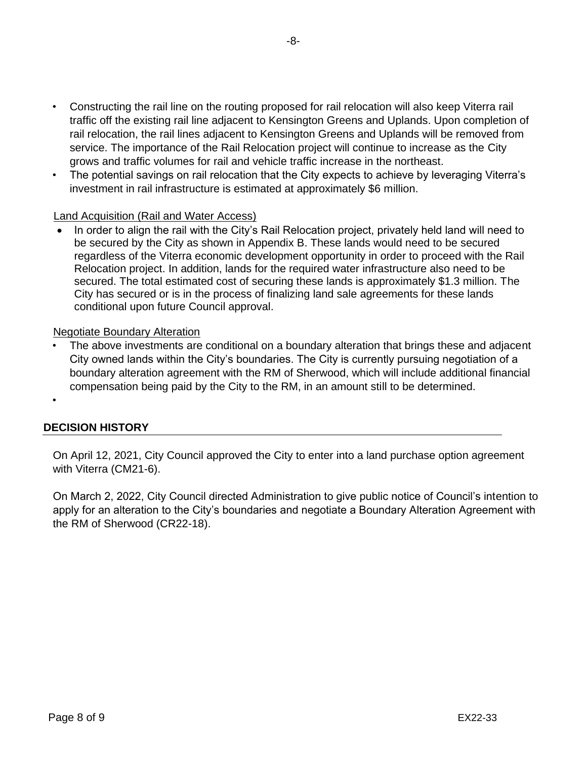- Constructing the rail line on the routing proposed for rail relocation will also keep Viterra rail traffic off the existing rail line adjacent to Kensington Greens and Uplands. Upon completion of rail relocation, the rail lines adjacent to Kensington Greens and Uplands will be removed from service. The importance of the Rail Relocation project will continue to increase as the City grows and traffic volumes for rail and vehicle traffic increase in the northeast.
- The potential savings on rail relocation that the City expects to achieve by leveraging Viterra's investment in rail infrastructure is estimated at approximately \$6 million.

# Land Acquisition (Rail and Water Access)

• In order to align the rail with the City's Rail Relocation project, privately held land will need to be secured by the City as shown in Appendix B. These lands would need to be secured regardless of the Viterra economic development opportunity in order to proceed with the Rail Relocation project. In addition, lands for the required water infrastructure also need to be secured. The total estimated cost of securing these lands is approximately \$1.3 million. The City has secured or is in the process of finalizing land sale agreements for these lands conditional upon future Council approval.

# Negotiate Boundary Alteration

The above investments are conditional on a boundary alteration that brings these and adjacent City owned lands within the City's boundaries. The City is currently pursuing negotiation of a boundary alteration agreement with the RM of Sherwood, which will include additional financial compensation being paid by the City to the RM, in an amount still to be determined.

# **DECISION HISTORY**

•

On April 12, 2021, City Council approved the City to enter into a land purchase option agreement with Viterra (CM21-6).

On March 2, 2022, City Council directed Administration to give public notice of Council's intention to apply for an alteration to the City's boundaries and negotiate a Boundary Alteration Agreement with the RM of Sherwood (CR22-18).